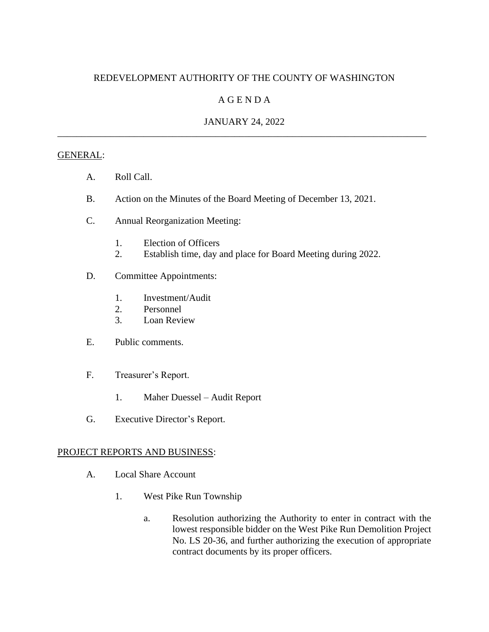## REDEVELOPMENT AUTHORITY OF THE COUNTY OF WASHINGTON

# A G E N D A

## JANUARY 24, 2022 \_\_\_\_\_\_\_\_\_\_\_\_\_\_\_\_\_\_\_\_\_\_\_\_\_\_\_\_\_\_\_\_\_\_\_\_\_\_\_\_\_\_\_\_\_\_\_\_\_\_\_\_\_\_\_\_\_\_\_\_\_\_\_\_\_\_\_\_\_\_\_\_\_\_\_\_\_

#### GENERAL:

- A. Roll Call.
- B. Action on the Minutes of the Board Meeting of December 13, 2021.
- C. Annual Reorganization Meeting:
	- 1. Election of Officers
	- 2. Establish time, day and place for Board Meeting during 2022.
- D. Committee Appointments:
	- 1. Investment/Audit
	- 2. Personnel
	- 3. Loan Review
- E. Public comments.
- F. Treasurer's Report.
	- 1. Maher Duessel Audit Report
- G. Executive Director's Report.

## PROJECT REPORTS AND BUSINESS:

- A. Local Share Account
	- 1. West Pike Run Township
		- a. Resolution authorizing the Authority to enter in contract with the lowest responsible bidder on the West Pike Run Demolition Project No. LS 20-36, and further authorizing the execution of appropriate contract documents by its proper officers.